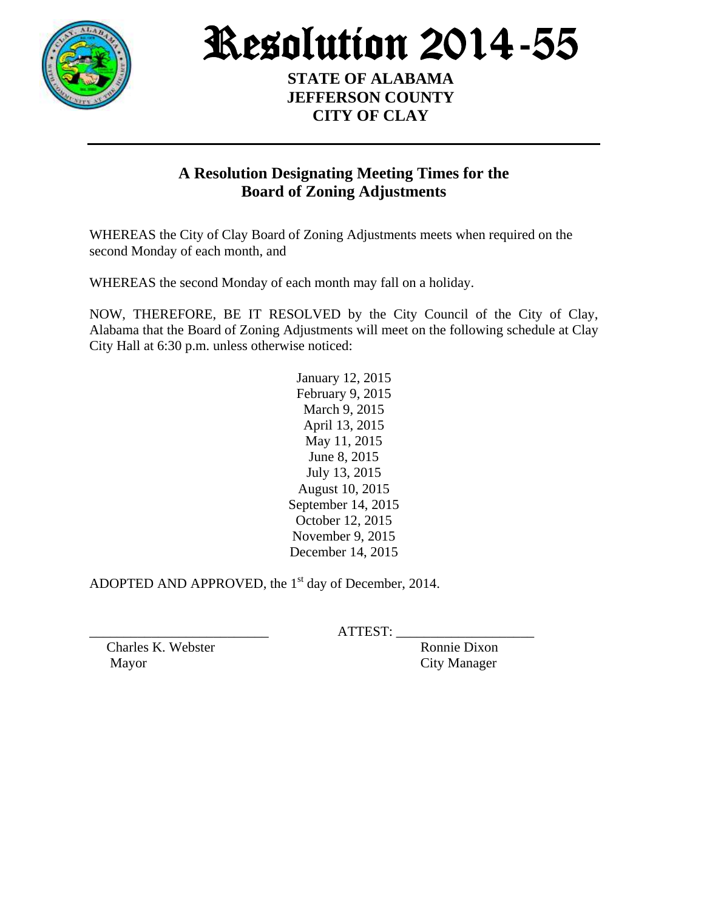

Resolution 2014-55

**STATE OF ALABAMA JEFFERSON COUNTY CITY OF CLAY**

## **A Resolution Designating Meeting Times for the Board of Zoning Adjustments**

WHEREAS the City of Clay Board of Zoning Adjustments meets when required on the second Monday of each month, and

WHEREAS the second Monday of each month may fall on a holiday.

NOW, THEREFORE, BE IT RESOLVED by the City Council of the City of Clay, Alabama that the Board of Zoning Adjustments will meet on the following schedule at Clay City Hall at 6:30 p.m. unless otherwise noticed:

> January 12, 2015 February 9, 2015 March 9, 2015 April 13, 2015 May 11, 2015 June 8, 2015 July 13, 2015 August 10, 2015 September 14, 2015 October 12, 2015 November 9, 2015 December 14, 2015

ADOPTED AND APPROVED, the  $1<sup>st</sup>$  day of December, 2014.

 $ATTEST:$ 

Charles K. Webster Ronnie Dixon Mayor City Manager